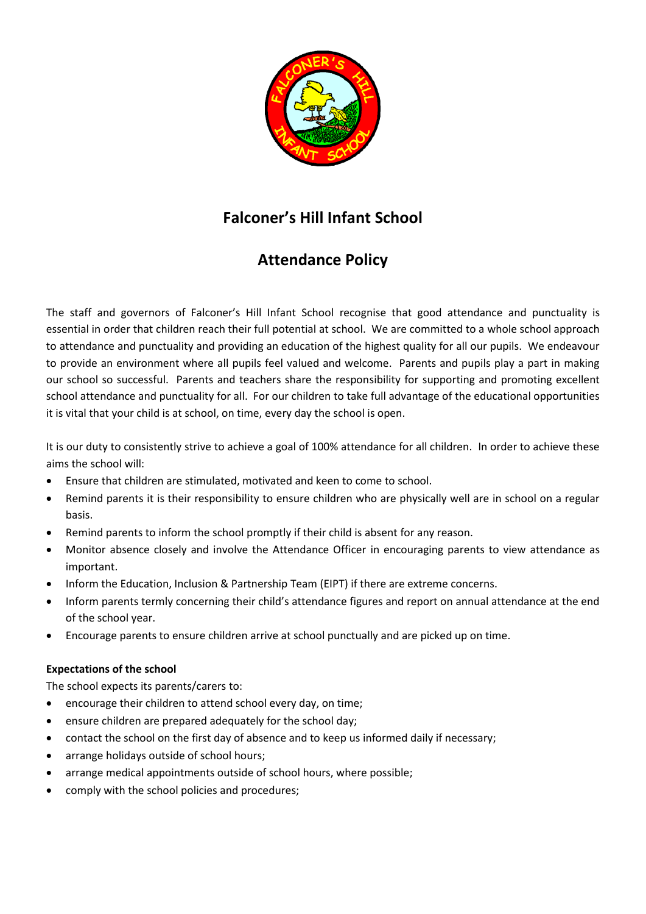

# **Falconer's Hill Infant School**

# **Attendance Policy**

The staff and governors of Falconer's Hill Infant School recognise that good attendance and punctuality is essential in order that children reach their full potential at school. We are committed to a whole school approach to attendance and punctuality and providing an education of the highest quality for all our pupils. We endeavour to provide an environment where all pupils feel valued and welcome. Parents and pupils play a part in making our school so successful. Parents and teachers share the responsibility for supporting and promoting excellent school attendance and punctuality for all. For our children to take full advantage of the educational opportunities it is vital that your child is at school, on time, every day the school is open.

It is our duty to consistently strive to achieve a goal of 100% attendance for all children. In order to achieve these aims the school will:

- Ensure that children are stimulated, motivated and keen to come to school.
- Remind parents it is their responsibility to ensure children who are physically well are in school on a regular basis.
- Remind parents to inform the school promptly if their child is absent for any reason.
- Monitor absence closely and involve the Attendance Officer in encouraging parents to view attendance as important.
- Inform the Education, Inclusion & Partnership Team (EIPT) if there are extreme concerns.
- Inform parents termly concerning their child's attendance figures and report on annual attendance at the end of the school year.
- Encourage parents to ensure children arrive at school punctually and are picked up on time.

# **Expectations of the school**

The school expects its parents/carers to:

- encourage their children to attend school every day, on time;
- ensure children are prepared adequately for the school day;
- contact the school on the first day of absence and to keep us informed daily if necessary;
- arrange holidays outside of school hours;
- arrange medical appointments outside of school hours, where possible;
- comply with the school policies and procedures;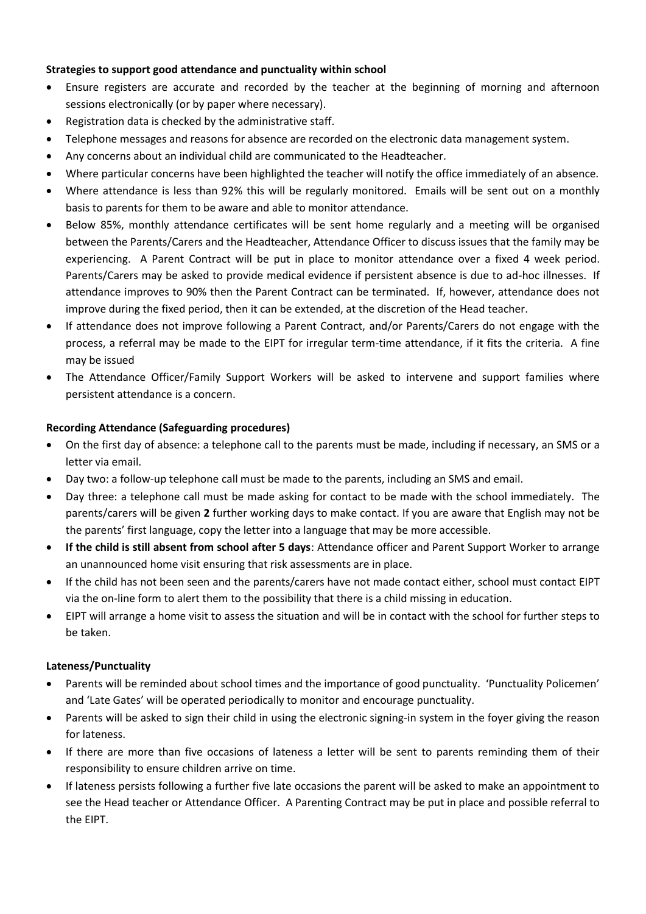### **Strategies to support good attendance and punctuality within school**

- Ensure registers are accurate and recorded by the teacher at the beginning of morning and afternoon sessions electronically (or by paper where necessary).
- Registration data is checked by the administrative staff.
- Telephone messages and reasons for absence are recorded on the electronic data management system.
- Any concerns about an individual child are communicated to the Headteacher.
- Where particular concerns have been highlighted the teacher will notify the office immediately of an absence.
- Where attendance is less than 92% this will be regularly monitored. Emails will be sent out on a monthly basis to parents for them to be aware and able to monitor attendance.
- Below 85%, monthly attendance certificates will be sent home regularly and a meeting will be organised between the Parents/Carers and the Headteacher, Attendance Officer to discuss issues that the family may be experiencing. A Parent Contract will be put in place to monitor attendance over a fixed 4 week period. Parents/Carers may be asked to provide medical evidence if persistent absence is due to ad-hoc illnesses. If attendance improves to 90% then the Parent Contract can be terminated. If, however, attendance does not improve during the fixed period, then it can be extended, at the discretion of the Head teacher.
- If attendance does not improve following a Parent Contract, and/or Parents/Carers do not engage with the process, a referral may be made to the EIPT for irregular term-time attendance, if it fits the criteria. A fine may be issued
- The Attendance Officer/Family Support Workers will be asked to intervene and support families where persistent attendance is a concern.

# **Recording Attendance (Safeguarding procedures)**

- On the first day of absence: a telephone call to the parents must be made, including if necessary, an SMS or a letter via email.
- Day two: a follow-up telephone call must be made to the parents, including an SMS and email.
- Day three: a telephone call must be made asking for contact to be made with the school immediately. The parents/carers will be given **2** further working days to make contact. If you are aware that English may not be the parents' first language, copy the letter into a language that may be more accessible.
- **If the child is still absent from school after 5 days**: Attendance officer and Parent Support Worker to arrange an unannounced home visit ensuring that risk assessments are in place.
- If the child has not been seen and the parents/carers have not made contact either, school must contact EIPT via the on-line form to alert them to the possibility that there is a child missing in education.
- EIPT will arrange a home visit to assess the situation and will be in contact with the school for further steps to be taken.

#### **Lateness/Punctuality**

- Parents will be reminded about school times and the importance of good punctuality. 'Punctuality Policemen' and 'Late Gates' will be operated periodically to monitor and encourage punctuality.
- Parents will be asked to sign their child in using the electronic signing-in system in the foyer giving the reason for lateness.
- If there are more than five occasions of lateness a letter will be sent to parents reminding them of their responsibility to ensure children arrive on time.
- If lateness persists following a further five late occasions the parent will be asked to make an appointment to see the Head teacher or Attendance Officer. A Parenting Contract may be put in place and possible referral to the EIPT.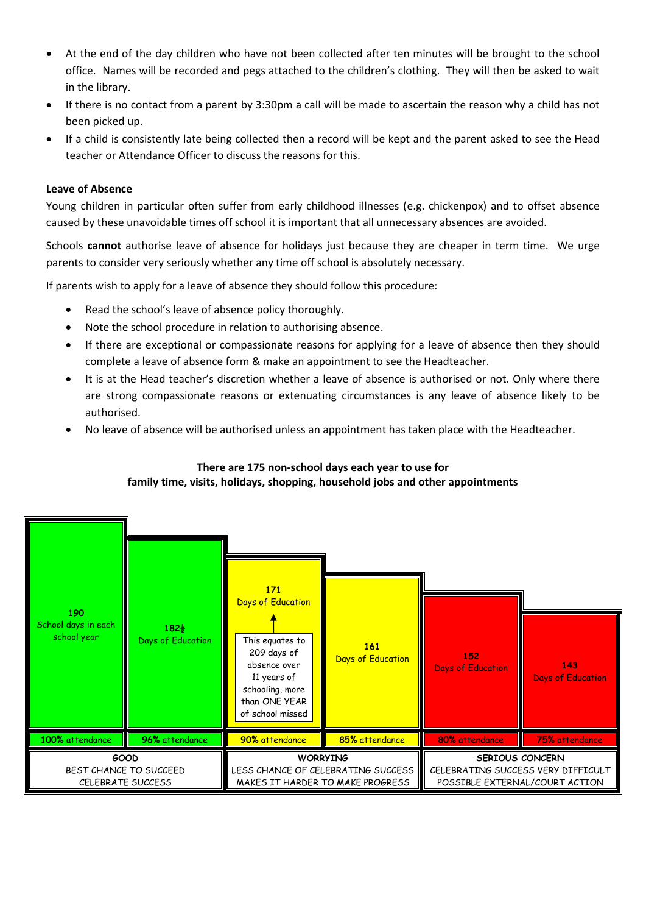- At the end of the day children who have not been collected after ten minutes will be brought to the school office. Names will be recorded and pegs attached to the children's clothing. They will then be asked to wait in the library.
- If there is no contact from a parent by 3:30pm a call will be made to ascertain the reason why a child has not been picked up.
- If a child is consistently late being collected then a record will be kept and the parent asked to see the Head teacher or Attendance Officer to discuss the reasons for this.

#### **Leave of Absence**

Young children in particular often suffer from early childhood illnesses (e.g. chickenpox) and to offset absence caused by these unavoidable times off school it is important that all unnecessary absences are avoided.

Schools **cannot** authorise leave of absence for holidays just because they are cheaper in term time. We urge parents to consider very seriously whether any time off school is absolutely necessary.

If parents wish to apply for a leave of absence they should follow this procedure:

- Read the school's leave of absence policy thoroughly.
- Note the school procedure in relation to authorising absence.
- If there are exceptional or compassionate reasons for applying for a leave of absence then they should complete a leave of absence form & make an appointment to see the Headteacher.
- It is at the Head teacher's discretion whether a leave of absence is authorised or not. Only where there are strong compassionate reasons or extenuating circumstances is any leave of absence likely to be authorised.
- No leave of absence will be authorised unless an appointment has taken place with the Headteacher.

# **There are 175 non-school days each year to use for family time, visits, holidays, shopping, household jobs and other appointments**